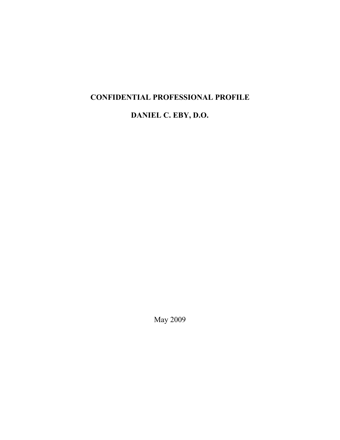# CONFIDENTIAL PROFESSIONAL PROFILE

DANIEL C. EBY, D.O.

May 2009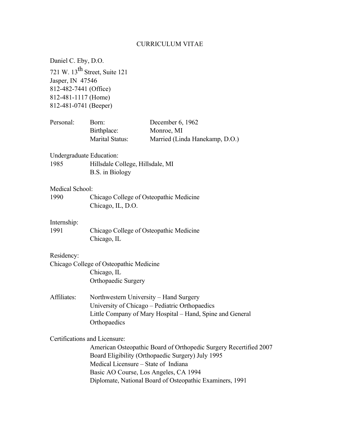## CURRICULUM VITAE

| Daniel C. Eby, D.O.                                                                       |                                                                                                                                                                       |                                                                                                                                                                                    |  |
|-------------------------------------------------------------------------------------------|-----------------------------------------------------------------------------------------------------------------------------------------------------------------------|------------------------------------------------------------------------------------------------------------------------------------------------------------------------------------|--|
| Jasper, IN 47546<br>812-482-7441 (Office)<br>812-481-1117 (Home)<br>812-481-0741 (Beeper) | 721 W. $13^{th}$ Street, Suite 121                                                                                                                                    |                                                                                                                                                                                    |  |
| Personal:                                                                                 | Born:<br>Birthplace:<br>Marital Status:                                                                                                                               | December 6, 1962<br>Monroe, MI<br>Married (Linda Hanekamp, D.O.)                                                                                                                   |  |
| <b>Undergraduate Education:</b><br>1985                                                   | Hillsdale College, Hillsdale, MI<br>B.S. in Biology                                                                                                                   |                                                                                                                                                                                    |  |
| Medical School:<br>1990                                                                   | Chicago College of Osteopathic Medicine<br>Chicago, IL, D.O.                                                                                                          |                                                                                                                                                                                    |  |
| Internship:<br>1991                                                                       | Chicago College of Osteopathic Medicine<br>Chicago, IL                                                                                                                |                                                                                                                                                                                    |  |
| Residency:                                                                                | Chicago College of Osteopathic Medicine<br>Chicago, IL<br>Orthopaedic Surgery                                                                                         |                                                                                                                                                                                    |  |
| Affiliates:                                                                               | Northwestern University - Hand Surgery<br>University of Chicago – Pediatric Orthopaedics<br>Little Company of Mary Hospital – Hand, Spine and General<br>Orthopaedics |                                                                                                                                                                                    |  |
|                                                                                           | Certifications and Licensure:<br>Medical Licensure – State of Indiana<br>Basic AO Course, Los Angeles, CA 1994                                                        | American Osteopathic Board of Orthopedic Surgery Recertified 2007<br>Board Eligibility (Orthopaedic Surgery) July 1995<br>Diplomate, National Board of Osteopathic Examiners, 1991 |  |